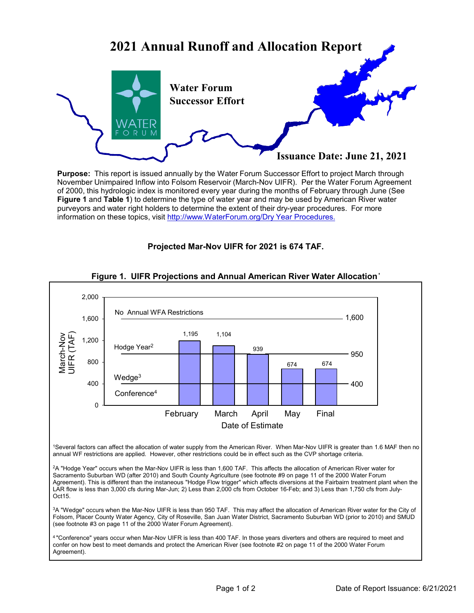

**Purpose:** This report is issued annually by the Water Forum Successor Effort to project March through November Unimpaired Inflow into Folsom Reservoir (March-Nov UIFR). Per the Water Forum Agreement of 2000, this hydrologic index is monitored every year during the months of February through June (See **Figure 1** and **Table 1**) to determine the type of water year and may be used by American River water purveyors and water right holders to determine the extent of their dry-year procedures. For more information on these topics, visit http://www.WaterForum.org/Dry Year Procedures.

# **Projected Mar-Nov UIFR for 2021 is 674 TAF.**



# **Figure 1. UIFR Projections and Annual American River Water Allocation<sup>1</sup>**